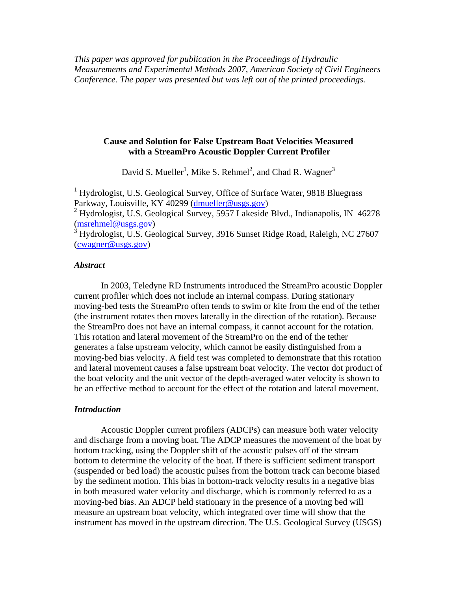*This paper was approved for publication in the Proceedings of Hydraulic Measurements and Experimental Methods 2007, American Society of Civil Engineers Conference. The paper was presented but was left out of the printed proceedings.* 

## **Cause and Solution for False Upstream Boat Velocities Measured with a StreamPro Acoustic Doppler Current Profiler**

David S. Mueller<sup>1</sup>, Mike S. Rehmel<sup>2</sup>, and Chad R. Wagner<sup>3</sup>

<sup>1</sup> Hydrologist, U.S. Geological Survey, Office of Surface Water, 9818 Bluegrass Parkway, Louisville, KY 40299 (dmueller@usgs.gov)

<sup>2</sup> Hydrologist, U.S. Geological Survey, 5957 Lakeside Blvd., Indianapolis, IN 46278 (msrehmel@usgs.gov)

3 Hydrologist, U.S. Geological Survey, 3916 Sunset Ridge Road, Raleigh, NC 27607 (cwagner@usgs.gov)

### *Abstract*

In 2003, Teledyne RD Instruments introduced the StreamPro acoustic Doppler current profiler which does not include an internal compass. During stationary moving-bed tests the StreamPro often tends to swim or kite from the end of the tether (the instrument rotates then moves laterally in the direction of the rotation). Because the StreamPro does not have an internal compass, it cannot account for the rotation. This rotation and lateral movement of the StreamPro on the end of the tether generates a false upstream velocity, which cannot be easily distinguished from a moving-bed bias velocity. A field test was completed to demonstrate that this rotation and lateral movement causes a false upstream boat velocity. The vector dot product of the boat velocity and the unit vector of the depth-averaged water velocity is shown to be an effective method to account for the effect of the rotation and lateral movement.

#### *Introduction*

Acoustic Doppler current profilers (ADCPs) can measure both water velocity and discharge from a moving boat. The ADCP measures the movement of the boat by bottom tracking, using the Doppler shift of the acoustic pulses off of the stream bottom to determine the velocity of the boat. If there is sufficient sediment transport (suspended or bed load) the acoustic pulses from the bottom track can become biased by the sediment motion. This bias in bottom-track velocity results in a negative bias in both measured water velocity and discharge, which is commonly referred to as a moving-bed bias. An ADCP held stationary in the presence of a moving bed will measure an upstream boat velocity, which integrated over time will show that the instrument has moved in the upstream direction. The U.S. Geological Survey (USGS)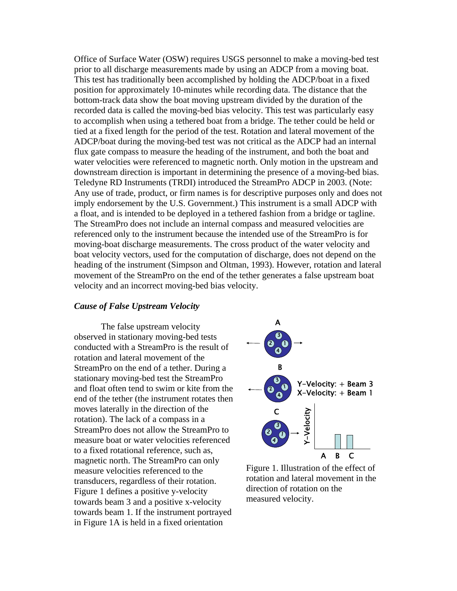Office of Surface Water (OSW) requires USGS personnel to make a moving-bed test prior to all discharge measurements made by using an ADCP from a moving boat. This test has traditionally been accomplished by holding the ADCP/boat in a fixed position for approximately 10-minutes while recording data. The distance that the bottom-track data show the boat moving upstream divided by the duration of the recorded data is called the moving-bed bias velocity. This test was particularly easy to accomplish when using a tethered boat from a bridge. The tether could be held or tied at a fixed length for the period of the test. Rotation and lateral movement of the ADCP/boat during the moving-bed test was not critical as the ADCP had an internal flux gate compass to measure the heading of the instrument, and both the boat and water velocities were referenced to magnetic north. Only motion in the upstream and downstream direction is important in determining the presence of a moving-bed bias. Teledyne RD Instruments (TRDI) introduced the StreamPro ADCP in 2003. (Note: Any use of trade, product, or firm names is for descriptive purposes only and does not imply endorsement by the U.S. Government.) This instrument is a small ADCP with a float, and is intended to be deployed in a tethered fashion from a bridge or tagline. The StreamPro does not include an internal compass and measured velocities are referenced only to the instrument because the intended use of the StreamPro is for moving-boat discharge measurements. The cross product of the water velocity and boat velocity vectors, used for the computation of discharge, does not depend on the heading of the instrument (Simpson and Oltman, 1993). However, rotation and lateral movement of the StreamPro on the end of the tether generates a false upstream boat velocity and an incorrect moving-bed bias velocity.

### *Cause of False Upstream Velocity*

The false upstream velocity observed in stationary moving-bed tests conducted with a StreamPro is the result of rotation and lateral movement of the StreamPro on the end of a tether. During a stationary moving-bed test the StreamPro and float often tend to swim or kite from the end of the tether (the instrument rotates then moves laterally in the direction of the rotation). The lack of a compass in a StreamPro does not allow the StreamPro to measure boat or water velocities referenced to a fixed rotational reference, such as, magnetic north. The StreamPro can only measure velocities referenced to the transducers, regardless of their rotation. Figure 1 defines a positive y-velocity towards beam 3 and a positive x-velocity towards beam 1. If the instrument portrayed in Figure 1A is held in a fixed orientation



Figure 1. Illustration of the effect of rotation and lateral movement in the direction of rotation on the measured velocity.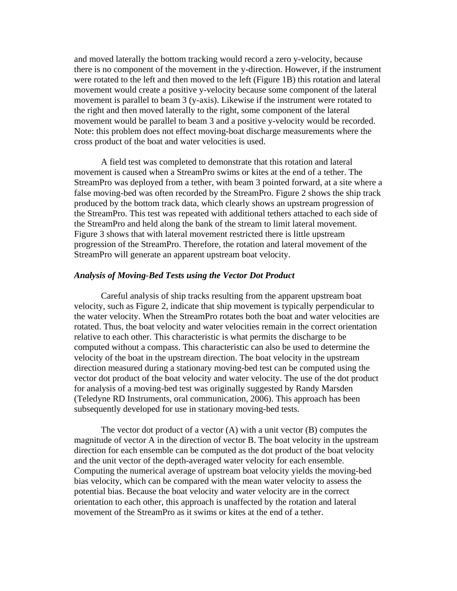and moved laterally the bottom tracking would record a zero y-velocity, because there is no component of the movement in the y-direction. However, if the instrument were rotated to the left and then moved to the left (Figure 1B) this rotation and lateral movement would create a positive y-velocity because some component of the lateral movement is parallel to beam 3 (y-axis). Likewise if the instrument were rotated to the right and then moved laterally to the right, some component of the lateral movement would be parallel to beam 3 and a positive y-velocity would be recorded. Note: this problem does not effect moving-boat discharge measurements where the cross product of the boat and water velocities is used.

A field test was completed to demonstrate that this rotation and lateral movement is caused when a StreamPro swims or kites at the end of a tether. The StreamPro was deployed from a tether, with beam 3 pointed forward, at a site where a false moving-bed was often recorded by the StreamPro. Figure 2 shows the ship track produced by the bottom track data, which clearly shows an upstream progression of the StreamPro. This test was repeated with additional tethers attached to each side of the StreamPro and held along the bank of the stream to limit lateral movement. Figure 3 shows that with lateral movement restricted there is little upstream progression of the StreamPro. Therefore, the rotation and lateral movement of the StreamPro will generate an apparent upstream boat velocity.

#### *Analysis of Moving-Bed Tests using the Vector Dot Product*

Careful analysis of ship tracks resulting from the apparent upstream boat velocity, such as Figure 2, indicate that ship movement is typically perpendicular to the water velocity. When the StreamPro rotates both the boat and water velocities are rotated. Thus, the boat velocity and water velocities remain in the correct orientation relative to each other. This characteristic is what permits the discharge to be computed without a compass. This characteristic can also be used to determine the velocity of the boat in the upstream direction. The boat velocity in the upstream direction measured during a stationary moving-bed test can be computed using the vector dot product of the boat velocity and water velocity. The use of the dot product for analysis of a moving-bed test was originally suggested by Randy Marsden (Teledyne RD Instruments, oral communication, 2006). This approach has been subsequently developed for use in stationary moving-bed tests.

The vector dot product of a vector  $(A)$  with a unit vector  $(B)$  computes the magnitude of vector A in the direction of vector B. The boat velocity in the upstream direction for each ensemble can be computed as the dot product of the boat velocity and the unit vector of the depth-averaged water velocity for each ensemble. Computing the numerical average of upstream boat velocity yields the moving-bed bias velocity, which can be compared with the mean water velocity to assess the potential bias. Because the boat velocity and water velocity are in the correct orientation to each other, this approach is unaffected by the rotation and lateral movement of the StreamPro as it swims or kites at the end of a tether.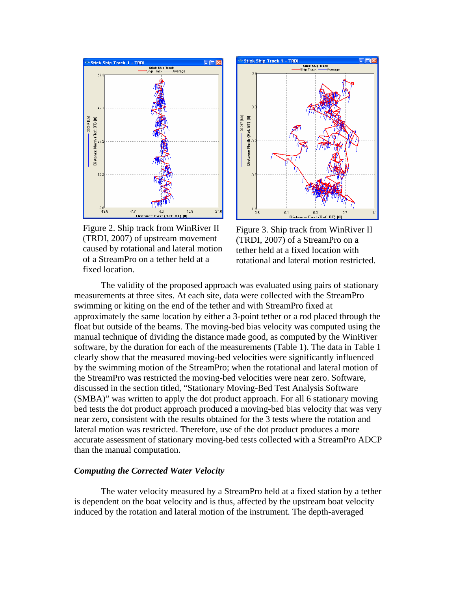

Figure 2. Ship track from WinRiver II (TRDI, 2007) of upstream movement caused by rotational and lateral motion of a StreamPro on a tether held at a fixed location.



Figure 3. Ship track from WinRiver II (TRDI, 2007) of a StreamPro on a tether held at a fixed location with rotational and lateral motion restricted.

The validity of the proposed approach was evaluated using pairs of stationary measurements at three sites. At each site, data were collected with the StreamPro swimming or kiting on the end of the tether and with StreamPro fixed at approximately the same location by either a 3-point tether or a rod placed through the float but outside of the beams. The moving-bed bias velocity was computed using the manual technique of dividing the distance made good, as computed by the WinRiver software, by the duration for each of the measurements (Table 1). The data in Table 1 clearly show that the measured moving-bed velocities were significantly influenced by the swimming motion of the StreamPro; when the rotational and lateral motion of the StreamPro was restricted the moving-bed velocities were near zero. Software, discussed in the section titled, "Stationary Moving-Bed Test Analysis Software (SMBA)" was written to apply the dot product approach. For all 6 stationary moving bed tests the dot product approach produced a moving-bed bias velocity that was very near zero, consistent with the results obtained for the 3 tests where the rotation and lateral motion was restricted. Therefore, use of the dot product produces a more accurate assessment of stationary moving-bed tests collected with a StreamPro ADCP than the manual computation.

### *Computing the Corrected Water Velocity*

The water velocity measured by a StreamPro held at a fixed station by a tether is dependent on the boat velocity and is thus, affected by the upstream boat velocity induced by the rotation and lateral motion of the instrument. The depth-averaged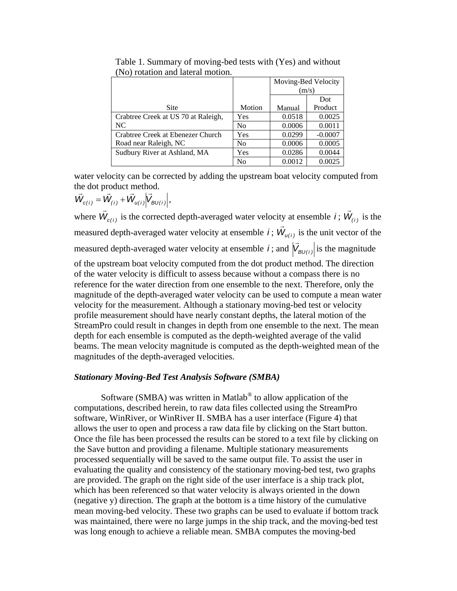|                                     |                | Moving-Bed Velocity |           |
|-------------------------------------|----------------|---------------------|-----------|
|                                     |                | (m/s)               |           |
|                                     |                |                     | Dot       |
| Site                                | Motion         | Manual              | Product   |
| Crabtree Creek at US 70 at Raleigh, | Yes            | 0.0518              | 0.0025    |
| NC                                  | N <sub>0</sub> | 0.0006              | 0.0011    |
| Crabtree Creek at Ebenezer Church   | Yes            | 0.0299              | $-0.0007$ |
| Road near Raleigh, NC               | N <sub>0</sub> | 0.0006              | 0.0005    |
| Sudbury River at Ashland, MA        | Yes            | 0.0286              | 0.0044    |
|                                     | No             | 0.0012              | 0.0025    |

Table 1. Summary of moving-bed tests with (Yes) and without (No) rotation and lateral motion.

water velocity can be corrected by adding the upstream boat velocity computed from the dot product method.

 $\vec{W}_{c(i)} = \vec{W}_{(i)} + \vec{W}_{u(i)} | \vec{V}_{BU(i)} |,$ 

where  $\vec{W}_{c(i)}$  is the corrected depth-averaged water velocity at ensemble *i*;  $\vec{W}_{(i)}$  is the measured depth-averaged water velocity at ensemble *i*;  $\vec{W}_{u(i)}$  is the unit vector of the measured depth-averaged water velocity at ensemble *i*; and  $|\vec{V}_{BU(i)}|$  is the magnitude of the upstream boat velocity computed from the dot product method. The direction of the water velocity is difficult to assess because without a compass there is no reference for the water direction from one ensemble to the next. Therefore, only the magnitude of the depth-averaged water velocity can be used to compute a mean water velocity for the measurement. Although a stationary moving-bed test or velocity profile measurement should have nearly constant depths, the lateral motion of the StreamPro could result in changes in depth from one ensemble to the next. The mean depth for each ensemble is computed as the depth-weighted average of the valid beams. The mean velocity magnitude is computed as the depth-weighted mean of the magnitudes of the depth-averaged velocities.

## *Stationary Moving-Bed Test Analysis Software (SMBA)*

Software (SMBA) was written in Matlab® to allow application of the computations, described herein, to raw data files collected using the StreamPro software, WinRiver, or WinRiver II. SMBA has a user interface (Figure 4) that allows the user to open and process a raw data file by clicking on the Start button. Once the file has been processed the results can be stored to a text file by clicking on the Save button and providing a filename. Multiple stationary measurements processed sequentially will be saved to the same output file. To assist the user in evaluating the quality and consistency of the stationary moving-bed test, two graphs are provided. The graph on the right side of the user interface is a ship track plot, which has been referenced so that water velocity is always oriented in the down (negative y) direction. The graph at the bottom is a time history of the cumulative mean moving-bed velocity. These two graphs can be used to evaluate if bottom track was maintained, there were no large jumps in the ship track, and the moving-bed test was long enough to achieve a reliable mean. SMBA computes the moving-bed